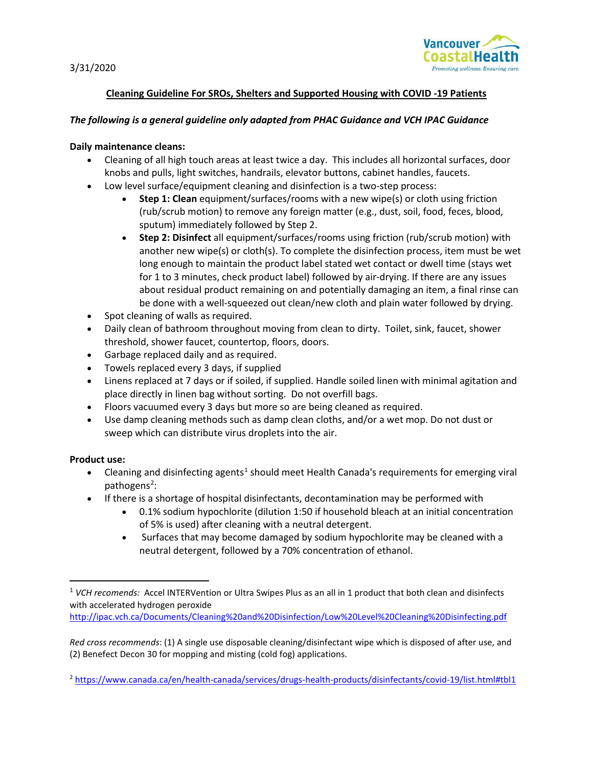3/31/2020



## **Cleaning Guideline For SROs, Shelters and Supported Housing with COVID -19 Patients**

#### *The following is a general guideline only adapted from PHAC Guidance and VCH IPAC Guidance*

#### **Daily maintenance cleans:**

- Cleaning of all high touch areas at least twice a day. This includes all horizontal surfaces, door knobs and pulls, light switches, handrails, elevator buttons, cabinet handles, faucets.
- Low level surface/equipment cleaning and disinfection is a two-step process:
	- **Step 1: Clean** equipment/surfaces/rooms with a new wipe(s) or cloth using friction (rub/scrub motion) to remove any foreign matter (e.g., dust, soil, food, feces, blood, sputum) immediately followed by Step 2.
	- **Step 2: Disinfect** all equipment/surfaces/rooms using friction (rub/scrub motion) with another new wipe(s) or cloth(s). To complete the disinfection process, item must be wet long enough to maintain the product label stated wet contact or dwell time (stays wet for 1 to 3 minutes, check product label) followed by air-drying. If there are any issues about residual product remaining on and potentially damaging an item, a final rinse can be done with a well-squeezed out clean/new cloth and plain water followed by drying.
- Spot cleaning of walls as required.
- Daily clean of bathroom throughout moving from clean to dirty. Toilet, sink, faucet, shower threshold, shower faucet, countertop, floors, doors.
- Garbage replaced daily and as required.
- Towels replaced every 3 days, if supplied
- Linens replaced at 7 days or if soiled, if supplied. Handle soiled linen with minimal agitation and place directly in linen bag without sorting. Do not overfill bags.
- Floors vacuumed every 3 days but more so are being cleaned as required.
- Use damp cleaning methods such as damp clean cloths, and/or a wet mop. Do not dust or sweep which can distribute virus droplets into the air.

#### **Product use:**

- Cleaning and disinfecting agents<sup>[1](#page-0-0)</sup> should meet Health Canada's requirements for emerging viral pathogens<sup>[2](#page-0-1)</sup>:
- If there is a shortage of hospital disinfectants, decontamination may be performed with
	- 0.1% sodium hypochlorite (dilution 1:50 if household bleach at an initial concentration of 5% is used) after cleaning with a neutral detergent.
	- Surfaces that may become damaged by sodium hypochlorite may be cleaned with a neutral detergent, followed by a 70% concentration of ethanol.

<span id="page-0-0"></span> <sup>1</sup> *VCH recomends:* Accel INTERVention or Ultra Swipes Plus as an all in 1 product that both clean and disinfects with accelerated hydrogen peroxide

<http://ipac.vch.ca/Documents/Cleaning%20and%20Disinfection/Low%20Level%20Cleaning%20Disinfecting.pdf>

*Red cross recommends*: (1) A single use disposable cleaning/disinfectant wipe which is disposed of after use, and (2) Benefect Decon 30 for mopping and misting (cold fog) applications.

<span id="page-0-1"></span><sup>2</sup> <https://www.canada.ca/en/health-canada/services/drugs-health-products/disinfectants/covid-19/list.html#tbl1>